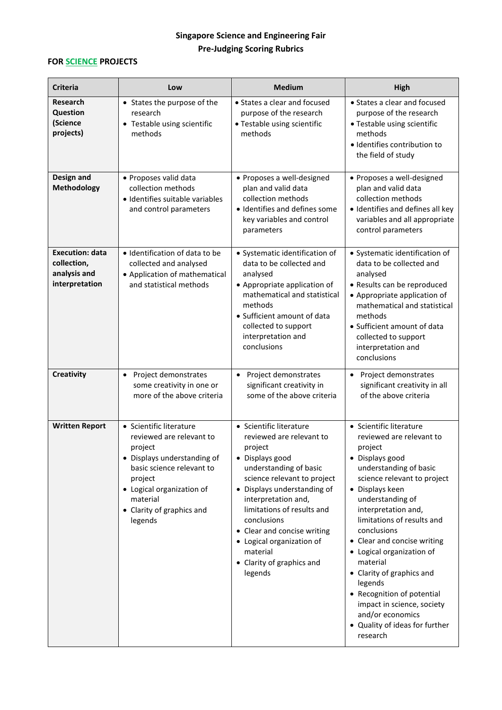## **Singapore Science and Engineering Fair Pre-Judging Scoring Rubrics**

## **FOR SCIENCE PROJECTS**

| <b>Criteria</b>                                                         | Low                                                                                                                                                                                                                    | <b>Medium</b>                                                                                                                                                                                                                                                                                                                                                 | <b>High</b>                                                                                                                                                                                                                                                                                                                                                                                                                                                                                         |
|-------------------------------------------------------------------------|------------------------------------------------------------------------------------------------------------------------------------------------------------------------------------------------------------------------|---------------------------------------------------------------------------------------------------------------------------------------------------------------------------------------------------------------------------------------------------------------------------------------------------------------------------------------------------------------|-----------------------------------------------------------------------------------------------------------------------------------------------------------------------------------------------------------------------------------------------------------------------------------------------------------------------------------------------------------------------------------------------------------------------------------------------------------------------------------------------------|
| <b>Research</b><br><b>Question</b><br>(Science<br>projects)             | • States the purpose of the<br>research<br>• Testable using scientific<br>methods                                                                                                                                      | • States a clear and focused<br>purpose of the research<br>• Testable using scientific<br>methods                                                                                                                                                                                                                                                             | • States a clear and focused<br>purpose of the research<br>• Testable using scientific<br>methods<br>· Identifies contribution to<br>the field of study                                                                                                                                                                                                                                                                                                                                             |
| Design and<br>Methodology                                               | · Proposes valid data<br>collection methods<br>· Identifies suitable variables<br>and control parameters                                                                                                               | • Proposes a well-designed<br>plan and valid data<br>collection methods<br>· Identifies and defines some<br>key variables and control<br>parameters                                                                                                                                                                                                           | • Proposes a well-designed<br>plan and valid data<br>collection methods<br>· Identifies and defines all key<br>variables and all appropriate<br>control parameters                                                                                                                                                                                                                                                                                                                                  |
| <b>Execution: data</b><br>collection,<br>analysis and<br>interpretation | · Identification of data to be<br>collected and analysed<br>• Application of mathematical<br>and statistical methods                                                                                                   | • Systematic identification of<br>data to be collected and<br>analysed<br>• Appropriate application of<br>mathematical and statistical<br>methods<br>• Sufficient amount of data<br>collected to support<br>interpretation and<br>conclusions                                                                                                                 | • Systematic identification of<br>data to be collected and<br>analysed<br>• Results can be reproduced<br>• Appropriate application of<br>mathematical and statistical<br>methods<br>• Sufficient amount of data<br>collected to support<br>interpretation and<br>conclusions                                                                                                                                                                                                                        |
| Creativity                                                              | Project demonstrates<br>$\bullet$<br>some creativity in one or<br>more of the above criteria                                                                                                                           | Project demonstrates<br>$\bullet$<br>significant creativity in<br>some of the above criteria                                                                                                                                                                                                                                                                  | • Project demonstrates<br>significant creativity in all<br>of the above criteria                                                                                                                                                                                                                                                                                                                                                                                                                    |
| <b>Written Report</b>                                                   | • Scientific literature<br>reviewed are relevant to<br>project<br>• Displays understanding of<br>basic science relevant to<br>project<br>• Logical organization of<br>material<br>• Clarity of graphics and<br>legends | • Scientific literature<br>reviewed are relevant to<br>project<br>• Displays good<br>understanding of basic<br>science relevant to project<br>• Displays understanding of<br>interpretation and,<br>limitations of results and<br>conclusions<br>• Clear and concise writing<br>• Logical organization of<br>material<br>• Clarity of graphics and<br>legends | • Scientific literature<br>reviewed are relevant to<br>project<br>• Displays good<br>understanding of basic<br>science relevant to project<br>• Displays keen<br>understanding of<br>interpretation and,<br>limitations of results and<br>conclusions<br>• Clear and concise writing<br>• Logical organization of<br>material<br>• Clarity of graphics and<br>legends<br>• Recognition of potential<br>impact in science, society<br>and/or economics<br>• Quality of ideas for further<br>research |